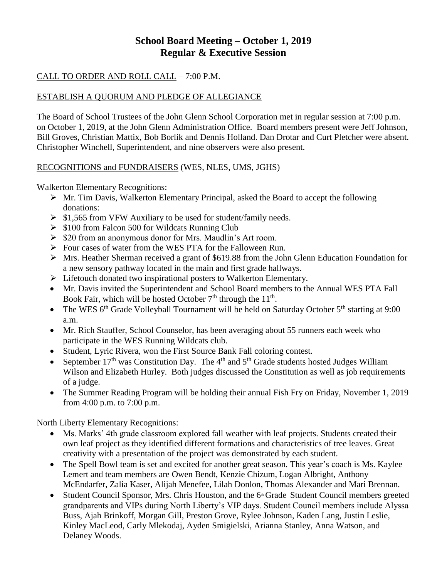# **School Board Meeting – October 1, 2019 Regular & Executive Session**

## CALL TO ORDER AND ROLL CALL – 7:00 P.M.

## ESTABLISH A QUORUM AND PLEDGE OF ALLEGIANCE

The Board of School Trustees of the John Glenn School Corporation met in regular session at 7:00 p.m. on October 1, 2019, at the John Glenn Administration Office. Board members present were Jeff Johnson, Bill Groves, Christian Mattix, Bob Borlik and Dennis Holland. Dan Drotar and Curt Pletcher were absent. Christopher Winchell, Superintendent, and nine observers were also present.

### RECOGNITIONS and FUNDRAISERS (WES, NLES, UMS, JGHS)

Walkerton Elementary Recognitions:

- $\triangleright$  Mr. Tim Davis, Walkerton Elementary Principal, asked the Board to accept the following donations:
- $\triangleright$  \$1,565 from VFW Auxiliary to be used for student/family needs.
- $\geq$  \$100 from Falcon 500 for Wildcats Running Club
- $\triangleright$  \$20 from an anonymous donor for Mrs. Maudlin's Art room.
- Four cases of water from the WES PTA for the Falloween Run.
- $\triangleright$  Mrs. Heather Sherman received a grant of \$619.88 from the John Glenn Education Foundation for a new sensory pathway located in the main and first grade hallways.
- $\triangleright$  Lifetouch donated two inspirational posters to Walkerton Elementary.
- Mr. Davis invited the Superintendent and School Board members to the Annual WES PTA Fall Book Fair, which will be hosted October  $7<sup>th</sup>$  through the  $11<sup>th</sup>$ .
- The WES  $6<sup>th</sup>$  Grade Volleyball Tournament will be held on Saturday October  $5<sup>th</sup>$  starting at 9:00 a.m.
- Mr. Rich Stauffer, School Counselor, has been averaging about 55 runners each week who participate in the WES Running Wildcats club.
- Student, Lyric Rivera, won the First Source Bank Fall coloring contest.
- September  $17<sup>th</sup>$  was Constitution Day. The 4<sup>th</sup> and 5<sup>th</sup> Grade students hosted Judges William Wilson and Elizabeth Hurley. Both judges discussed the Constitution as well as job requirements of a judge.
- The Summer Reading Program will be holding their annual Fish Fry on Friday, November 1, 2019 from 4:00 p.m. to 7:00 p.m.

North Liberty Elementary Recognitions:

- Ms. Marks' 4th grade classroom explored fall weather with leaf projects. Students created their own leaf project as they identified different formations and characteristics of tree leaves. Great creativity with a presentation of the project was demonstrated by each student.
- The Spell Bowl team is set and excited for another great season. This year's coach is Ms. Kaylee Lemert and team members are Owen Bendt, Kenzie Chizum, Logan Albright, Anthony McEndarfer, Zalia Kaser, Alijah Menefee, Lilah Donlon, Thomas Alexander and Mari Brennan.
- Student Council Sponsor, Mrs. Chris Houston, and the  $6<sup>th</sup>$  Grade Student Council members greeted grandparents and VIPs during North Liberty's VIP days. Student Council members include Alyssa Buss, Ajah Brinkoff, Morgan Gill, Preston Grove, Rylee Johnson, Kaden Lang, Justin Leslie, Kinley MacLeod, Carly Mlekodaj, Ayden Smigielski, Arianna Stanley, Anna Watson, and Delaney Woods.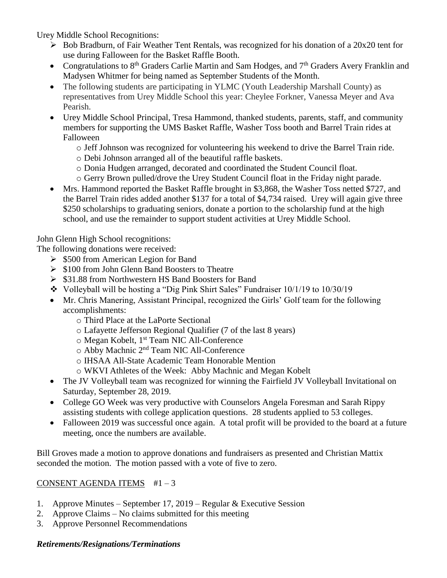Urey Middle School Recognitions:

- $\triangleright$  Bob Bradburn, of Fair Weather Tent Rentals, was recognized for his donation of a 20x20 tent for use during Falloween for the Basket Raffle Booth.
- Congratulations to  $8<sup>th</sup>$  Graders Carlie Martin and Sam Hodges, and  $7<sup>th</sup>$  Graders Avery Franklin and Madysen Whitmer for being named as September Students of the Month.
- The following students are participating in YLMC (Youth Leadership Marshall County) as representatives from Urey Middle School this year: Cheylee Forkner, Vanessa Meyer and Ava Pearish.
- Urey Middle School Principal, Tresa Hammond, thanked students, parents, staff, and community members for supporting the UMS Basket Raffle, Washer Toss booth and Barrel Train rides at Falloween
	- o Jeff Johnson was recognized for volunteering his weekend to drive the Barrel Train ride.
	- o Debi Johnson arranged all of the beautiful raffle baskets.
	- o Donia Hudgen arranged, decorated and coordinated the Student Council float.
	- o Gerry Brown pulled/drove the Urey Student Council float in the Friday night parade.
- Mrs. Hammond reported the Basket Raffle brought in \$3,868, the Washer Toss netted \$727, and the Barrel Train rides added another \$137 for a total of \$4,734 raised. Urey will again give three \$250 scholarships to graduating seniors, donate a portion to the scholarship fund at the high school, and use the remainder to support student activities at Urey Middle School.

John Glenn High School recognitions:

The following donations were received:

- $\geq$  \$500 from American Legion for Band
- $\triangleright$  \$100 from John Glenn Band Boosters to Theatre
- **► \$31.88 from Northwestern HS Band Boosters for Band**
- Volleyball will be hosting a "Dig Pink Shirt Sales" Fundraiser 10/1/19 to 10/30/19
- Mr. Chris Manering, Assistant Principal, recognized the Girls' Golf team for the following accomplishments:
	- o Third Place at the LaPorte Sectional
	- o Lafayette Jefferson Regional Qualifier (7 of the last 8 years)
	- o Megan Kobelt, 1st Team NIC All-Conference
	- o Abby Machnic 2nd Team NIC All-Conference
	- o IHSAA All-State Academic Team Honorable Mention
	- o WKVI Athletes of the Week: Abby Machnic and Megan Kobelt
- The JV Volleyball team was recognized for winning the Fairfield JV Volleyball Invitational on Saturday, September 28, 2019.
- College GO Week was very productive with Counselors Angela Foresman and Sarah Rippy assisting students with college application questions. 28 students applied to 53 colleges.
- Falloween 2019 was successful once again. A total profit will be provided to the board at a future meeting, once the numbers are available.

Bill Groves made a motion to approve donations and fundraisers as presented and Christian Mattix seconded the motion. The motion passed with a vote of five to zero.

### CONSENT AGENDA ITEMS  $#1-3$

- 1. Approve Minutes September 17, 2019 Regular & Executive Session
- 2. Approve Claims No claims submitted for this meeting
- 3. Approve Personnel Recommendations

### *Retirements/Resignations/Terminations*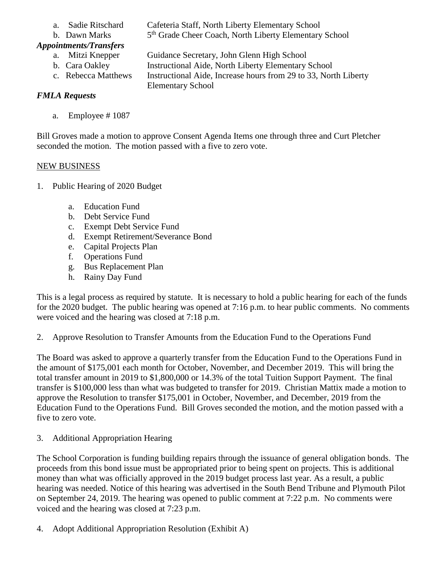- 
- b. Dawn Marks

## *Appointments/Transfers*

- a. Sadie Ritschard Cafeteria Staff, North Liberty Elementary School 5<sup>th</sup> Grade Cheer Coach, North Liberty Elementary School
- a. Mitzi Knepper Guidance Secretary, John Glenn High School
	- b. Cara Oakley **Instructional Aide, North Liberty Elementary School**
	-

c. Rebecca Matthews Instructional Aide, Increase hours from 29 to 33, North Liberty Elementary School

## *FMLA Requests*

a. Employee # 1087

Bill Groves made a motion to approve Consent Agenda Items one through three and Curt Pletcher seconded the motion. The motion passed with a five to zero vote.

## NEW BUSINESS

- 1. Public Hearing of 2020 Budget
	- a. Education Fund
	- b. Debt Service Fund
	- c. Exempt Debt Service Fund
	- d. Exempt Retirement/Severance Bond
	- e. Capital Projects Plan
	- f. Operations Fund
	- g. Bus Replacement Plan
	- h. Rainy Day Fund

This is a legal process as required by statute. It is necessary to hold a public hearing for each of the funds for the 2020 budget. The public hearing was opened at 7:16 p.m. to hear public comments. No comments were voiced and the hearing was closed at 7:18 p.m.

2. Approve Resolution to Transfer Amounts from the Education Fund to the Operations Fund

The Board was asked to approve a quarterly transfer from the Education Fund to the Operations Fund in the amount of \$175,001 each month for October, November, and December 2019. This will bring the total transfer amount in 2019 to \$1,800,000 or 14.3% of the total Tuition Support Payment. The final transfer is \$100,000 less than what was budgeted to transfer for 2019. Christian Mattix made a motion to approve the Resolution to transfer \$175,001 in October, November, and December, 2019 from the Education Fund to the Operations Fund. Bill Groves seconded the motion, and the motion passed with a five to zero vote.

3. Additional Appropriation Hearing

The School Corporation is funding building repairs through the issuance of general obligation bonds. The proceeds from this bond issue must be appropriated prior to being spent on projects. This is additional money than what was officially approved in the 2019 budget process last year. As a result, a public hearing was needed. Notice of this hearing was advertised in the South Bend Tribune and Plymouth Pilot on September 24, 2019. The hearing was opened to public comment at 7:22 p.m. No comments were voiced and the hearing was closed at 7:23 p.m.

4. Adopt Additional Appropriation Resolution (Exhibit A)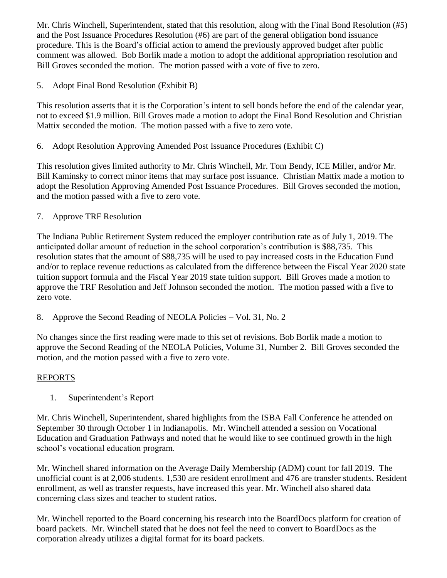Mr. Chris Winchell, Superintendent, stated that this resolution, along with the Final Bond Resolution (#5) and the Post Issuance Procedures Resolution (#6) are part of the general obligation bond issuance procedure. This is the Board's official action to amend the previously approved budget after public comment was allowed. Bob Borlik made a motion to adopt the additional appropriation resolution and Bill Groves seconded the motion. The motion passed with a vote of five to zero.

5. Adopt Final Bond Resolution (Exhibit B)

This resolution asserts that it is the Corporation's intent to sell bonds before the end of the calendar year, not to exceed \$1.9 million. Bill Groves made a motion to adopt the Final Bond Resolution and Christian Mattix seconded the motion. The motion passed with a five to zero vote.

6. Adopt Resolution Approving Amended Post Issuance Procedures (Exhibit C)

This resolution gives limited authority to Mr. Chris Winchell, Mr. Tom Bendy, ICE Miller, and/or Mr. Bill Kaminsky to correct minor items that may surface post issuance. Christian Mattix made a motion to adopt the Resolution Approving Amended Post Issuance Procedures. Bill Groves seconded the motion, and the motion passed with a five to zero vote.

7. Approve TRF Resolution

The Indiana Public Retirement System reduced the employer contribution rate as of July 1, 2019. The anticipated dollar amount of reduction in the school corporation's contribution is \$88,735. This resolution states that the amount of \$88,735 will be used to pay increased costs in the Education Fund and/or to replace revenue reductions as calculated from the difference between the Fiscal Year 2020 state tuition support formula and the Fiscal Year 2019 state tuition support. Bill Groves made a motion to approve the TRF Resolution and Jeff Johnson seconded the motion. The motion passed with a five to zero vote.

8. Approve the Second Reading of NEOLA Policies – Vol. 31, No. 2

No changes since the first reading were made to this set of revisions. Bob Borlik made a motion to approve the Second Reading of the NEOLA Policies, Volume 31, Number 2. Bill Groves seconded the motion, and the motion passed with a five to zero vote.

## REPORTS

1. Superintendent's Report

Mr. Chris Winchell, Superintendent, shared highlights from the ISBA Fall Conference he attended on September 30 through October 1 in Indianapolis. Mr. Winchell attended a session on Vocational Education and Graduation Pathways and noted that he would like to see continued growth in the high school's vocational education program.

Mr. Winchell shared information on the Average Daily Membership (ADM) count for fall 2019. The unofficial count is at 2,006 students. 1,530 are resident enrollment and 476 are transfer students. Resident enrollment, as well as transfer requests, have increased this year. Mr. Winchell also shared data concerning class sizes and teacher to student ratios.

Mr. Winchell reported to the Board concerning his research into the BoardDocs platform for creation of board packets. Mr. Winchell stated that he does not feel the need to convert to BoardDocs as the corporation already utilizes a digital format for its board packets.